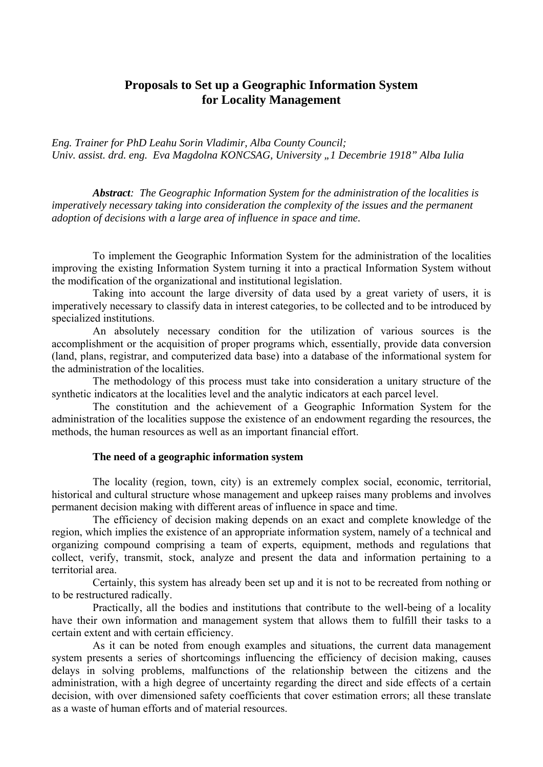## **Proposals to Set up a Geographic Information System for Locality Management**

*Eng. Trainer for PhD Leahu Sorin Vladimir, Alba County Council; Univ. assist. drd. eng. Eva Magdolna KONCSAG, University "1 Decembrie 1918" Alba Iulia* 

*Abstract: The Geographic Information System for the administration of the localities is imperatively necessary taking into consideration the complexity of the issues and the permanent adoption of decisions with a large area of influence in space and time.* 

To implement the Geographic Information System for the administration of the localities improving the existing Information System turning it into a practical Information System without the modification of the organizational and institutional legislation.

Taking into account the large diversity of data used by a great variety of users, it is imperatively necessary to classify data in interest categories, to be collected and to be introduced by specialized institutions.

An absolutely necessary condition for the utilization of various sources is the accomplishment or the acquisition of proper programs which, essentially, provide data conversion (land, plans, registrar, and computerized data base) into a database of the informational system for the administration of the localities.

The methodology of this process must take into consideration a unitary structure of the synthetic indicators at the localities level and the analytic indicators at each parcel level.

The constitution and the achievement of a Geographic Information System for the administration of the localities suppose the existence of an endowment regarding the resources, the methods, the human resources as well as an important financial effort.

#### **The need of a geographic information system**

The locality (region, town, city) is an extremely complex social, economic, territorial, historical and cultural structure whose management and upkeep raises many problems and involves permanent decision making with different areas of influence in space and time.

The efficiency of decision making depends on an exact and complete knowledge of the region, which implies the existence of an appropriate information system, namely of a technical and organizing compound comprising a team of experts, equipment, methods and regulations that collect, verify, transmit, stock, analyze and present the data and information pertaining to a territorial area.

Certainly, this system has already been set up and it is not to be recreated from nothing or to be restructured radically.

Practically, all the bodies and institutions that contribute to the well-being of a locality have their own information and management system that allows them to fulfill their tasks to a certain extent and with certain efficiency.

As it can be noted from enough examples and situations, the current data management system presents a series of shortcomings influencing the efficiency of decision making, causes delays in solving problems, malfunctions of the relationship between the citizens and the administration, with a high degree of uncertainty regarding the direct and side effects of a certain decision, with over dimensioned safety coefficients that cover estimation errors; all these translate as a waste of human efforts and of material resources.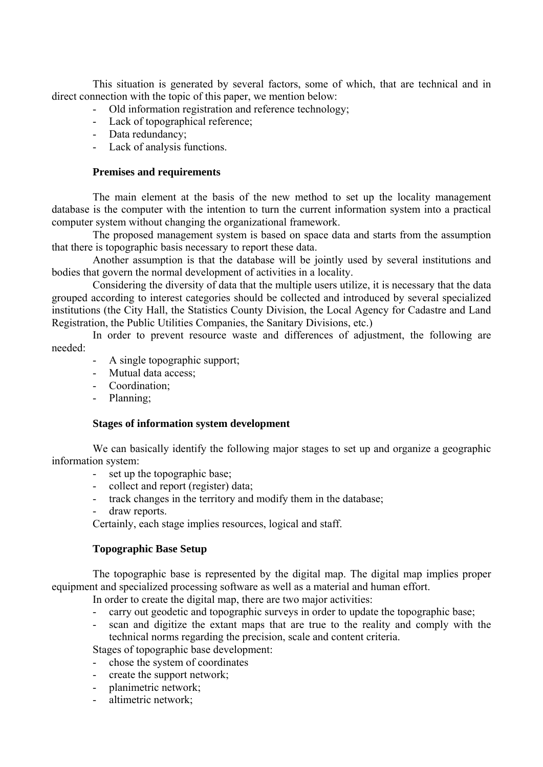This situation is generated by several factors, some of which, that are technical and in direct connection with the topic of this paper, we mention below:

- Old information registration and reference technology;
- Lack of topographical reference;
- Data redundancy;
- Lack of analysis functions.

## **Premises and requirements**

The main element at the basis of the new method to set up the locality management database is the computer with the intention to turn the current information system into a practical computer system without changing the organizational framework.

The proposed management system is based on space data and starts from the assumption that there is topographic basis necessary to report these data.

Another assumption is that the database will be jointly used by several institutions and bodies that govern the normal development of activities in a locality.

Considering the diversity of data that the multiple users utilize, it is necessary that the data grouped according to interest categories should be collected and introduced by several specialized institutions (the City Hall, the Statistics County Division, the Local Agency for Cadastre and Land Registration, the Public Utilities Companies, the Sanitary Divisions, etc.)

In order to prevent resource waste and differences of adjustment, the following are needed:

- A single topographic support;
- Mutual data access;
- Coordination;
- Planning;

#### **Stages of information system development**

We can basically identify the following major stages to set up and organize a geographic information system:

- set up the topographic base;
- collect and report (register) data;
- track changes in the territory and modify them in the database;
- draw reports.

Certainly, each stage implies resources, logical and staff.

#### **Topographic Base Setup**

The topographic base is represented by the digital map. The digital map implies proper equipment and specialized processing software as well as a material and human effort.

In order to create the digital map, there are two major activities:

- carry out geodetic and topographic surveys in order to update the topographic base;
- scan and digitize the extant maps that are true to the reality and comply with the technical norms regarding the precision, scale and content criteria.

Stages of topographic base development:

- chose the system of coordinates
- create the support network;
- planimetric network;
- altimetric network;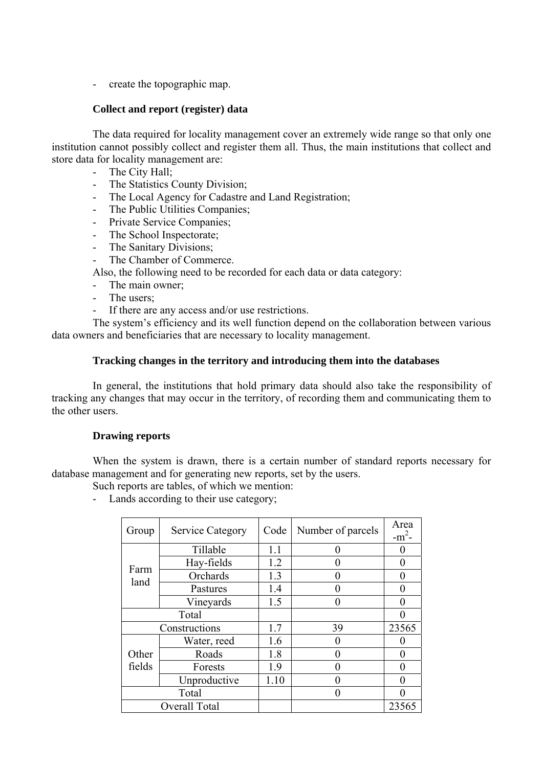- create the topographic map.

## **Collect and report (register) data**

The data required for locality management cover an extremely wide range so that only one institution cannot possibly collect and register them all. Thus, the main institutions that collect and store data for locality management are:

- The City Hall:
- The Statistics County Division;
- The Local Agency for Cadastre and Land Registration;
- The Public Utilities Companies;
- Private Service Companies;
- The School Inspectorate;
- The Sanitary Divisions;
- The Chamber of Commerce.

Also, the following need to be recorded for each data or data category:

- The main owner:
- The users;
- If there are any access and/or use restrictions.

The system's efficiency and its well function depend on the collaboration between various data owners and beneficiaries that are necessary to locality management.

## **Tracking changes in the territory and introducing them into the databases**

In general, the institutions that hold primary data should also take the responsibility of tracking any changes that may occur in the territory, of recording them and communicating them to the other users.

## **Drawing reports**

When the system is drawn, there is a certain number of standard reports necessary for database management and for generating new reports, set by the users.

Such reports are tables, of which we mention:

- Lands according to their use category;

| Group         | <b>Service Category</b> | Code | Number of parcels | Area<br>$-m2$ - |
|---------------|-------------------------|------|-------------------|-----------------|
|               | Tillable                | 1.1  |                   |                 |
|               | Hay-fields              | 1.2  |                   | 0               |
| Farm<br>land  | Orchards                | 1.3  |                   |                 |
|               | Pastures                | 1.4  |                   | $\mathbf{0}$    |
|               | Vineyards               | 1.5  |                   |                 |
| Total         |                         |      |                   |                 |
| Constructions |                         | 1.7  | 39                | 23565           |
|               | Water, reed             | 1.6  |                   | 0               |
| Other         | Roads                   | 1.8  |                   |                 |
| fields        | Forests                 | 1.9  |                   |                 |
|               | Unproductive            | 1.10 |                   |                 |
| Total         |                         |      |                   |                 |
| Overall Total |                         |      |                   | 23565           |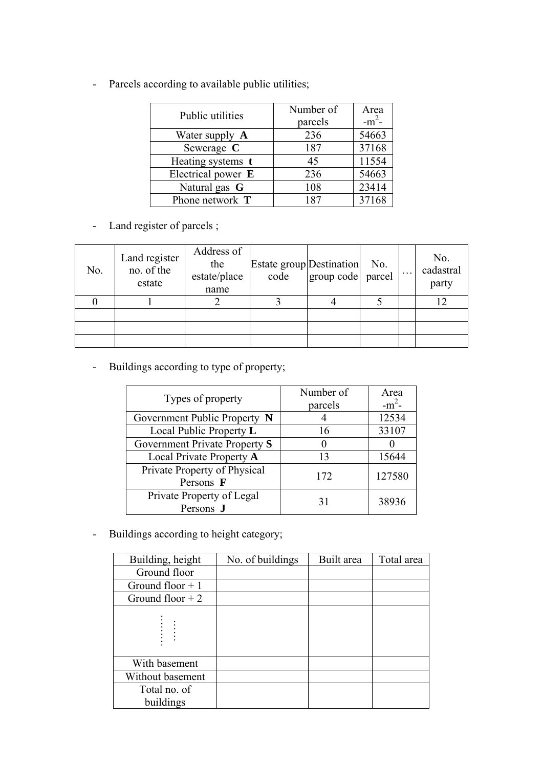- Parcels according to available public utilities;

| Public utilities   | Number of | Area     |
|--------------------|-----------|----------|
|                    | parcels   | $-m^2$ - |
| Water supply A     | 236       | 54663    |
| Sewerage C         | 187       | 37168    |
| Heating systems t  | 45        | 11554    |
| Electrical power E | 236       | 54663    |
| Natural gas G      | 108       | 23414    |
| Phone network T    | 187       | 37168    |

- Land register of parcels ;

| No. | Land register<br>no. of the<br>estate | Address of<br>the<br>estate/place<br>name | Estate group Destination<br>code | group code parcel | No. | No.<br>cadastral<br>party |
|-----|---------------------------------------|-------------------------------------------|----------------------------------|-------------------|-----|---------------------------|
|     |                                       |                                           |                                  |                   |     |                           |
|     |                                       |                                           |                                  |                   |     |                           |
|     |                                       |                                           |                                  |                   |     |                           |
|     |                                       |                                           |                                  |                   |     |                           |

- Buildings according to type of property;

| Types of property             | Number of | Area     |
|-------------------------------|-----------|----------|
|                               | parcels   | $-m^2$ - |
| Government Public Property N  |           | 12534    |
| Local Public Property L       | 16        | 33107    |
| Government Private Property S |           |          |
| Local Private Property A      | 13        | 15644    |
| Private Property of Physical  | 172       | 127580   |
| Persons F                     |           |          |
| Private Property of Legal     | 31        | 38936    |
| Persons J                     |           |          |

- Buildings according to height category;

| Building, height  | No. of buildings | Built area | Total area |
|-------------------|------------------|------------|------------|
| Ground floor      |                  |            |            |
| Ground floor $+1$ |                  |            |            |
| Ground floor $+2$ |                  |            |            |
|                   |                  |            |            |
| With basement     |                  |            |            |
| Without basement  |                  |            |            |
| Total no. of      |                  |            |            |
| buildings         |                  |            |            |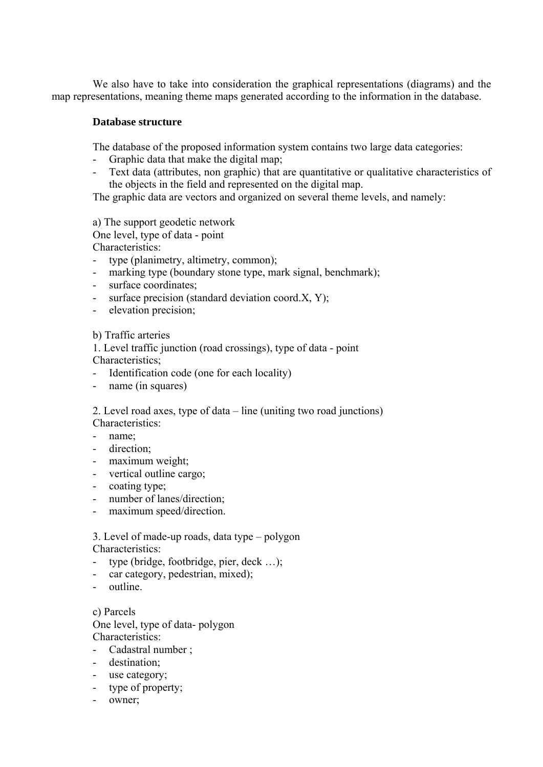We also have to take into consideration the graphical representations (diagrams) and the map representations, meaning theme maps generated according to the information in the database.

## **Database structure**

The database of the proposed information system contains two large data categories:

- Graphic data that make the digital map;
- Text data (attributes, non graphic) that are quantitative or qualitative characteristics of the objects in the field and represented on the digital map.

The graphic data are vectors and organized on several theme levels, and namely:

a) The support geodetic network One level, type of data - point

Characteristics:

- type (planimetry, altimetry, common);
- marking type (boundary stone type, mark signal, benchmark);
- surface coordinates:
- surface precision (standard deviation coord.X, Y);
- elevation precision;

b) Traffic arteries

1. Level traffic junction (road crossings), type of data - point Characteristics;

- Identification code (one for each locality)
- name (in squares)

2. Level road axes, type of data – line (uniting two road junctions) Characteristics:

- name;
- direction;
- maximum weight;
- vertical outline cargo;
- coating type;
- number of lanes/direction;
- maximum speed/direction.

3. Level of made-up roads, data type – polygon Characteristics:

- type (bridge, footbridge, pier, deck ...);
- car category, pedestrian, mixed);
- outline.

c) Parcels

One level, type of data- polygon Characteristics:

- Cadastral number ;
- destination;
- use category;
- type of property;
- owner;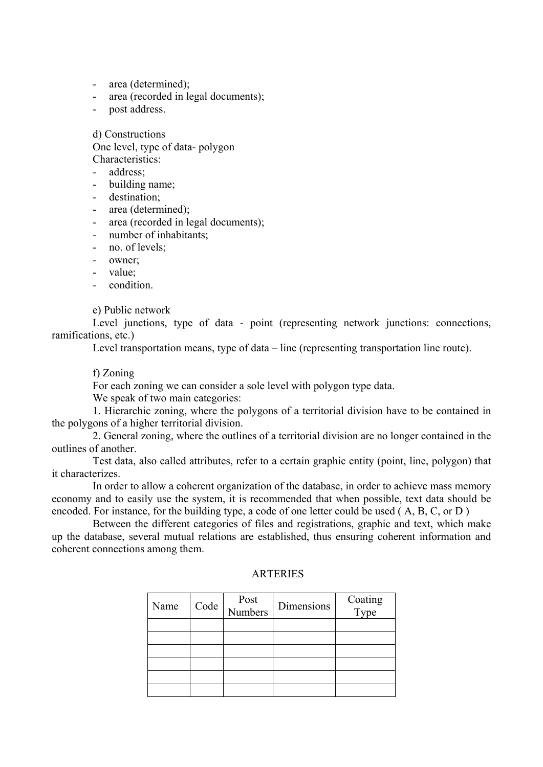- area (determined);
- area (recorded in legal documents);
- post address.

d) Constructions One level, type of data- polygon Characteristics:

address<sup>.</sup>

- building name;
- destination;
- area (determined);
- area (recorded in legal documents);
- number of inhabitants;
- no. of levels;
- owner:
- value;
- condition.

e) Public network

Level junctions, type of data - point (representing network junctions: connections, ramifications, etc.)

Level transportation means, type of data – line (representing transportation line route).

f) Zoning

For each zoning we can consider a sole level with polygon type data.

We speak of two main categories:

1. Hierarchic zoning, where the polygons of a territorial division have to be contained in the polygons of a higher territorial division.

2. General zoning, where the outlines of a territorial division are no longer contained in the outlines of another.

Test data, also called attributes, refer to a certain graphic entity (point, line, polygon) that it characterizes.

In order to allow a coherent organization of the database, in order to achieve mass memory economy and to easily use the system, it is recommended that when possible, text data should be encoded. For instance, for the building type, a code of one letter could be used ( A, B, C, or D )

Between the different categories of files and registrations, graphic and text, which make up the database, several mutual relations are established, thus ensuring coherent information and coherent connections among them.

| Name | Code | Post<br>Numbers | Dimensions | Coating<br>Type |
|------|------|-----------------|------------|-----------------|
|      |      |                 |            |                 |
|      |      |                 |            |                 |
|      |      |                 |            |                 |
|      |      |                 |            |                 |
|      |      |                 |            |                 |
|      |      |                 |            |                 |

## **ARTERIES**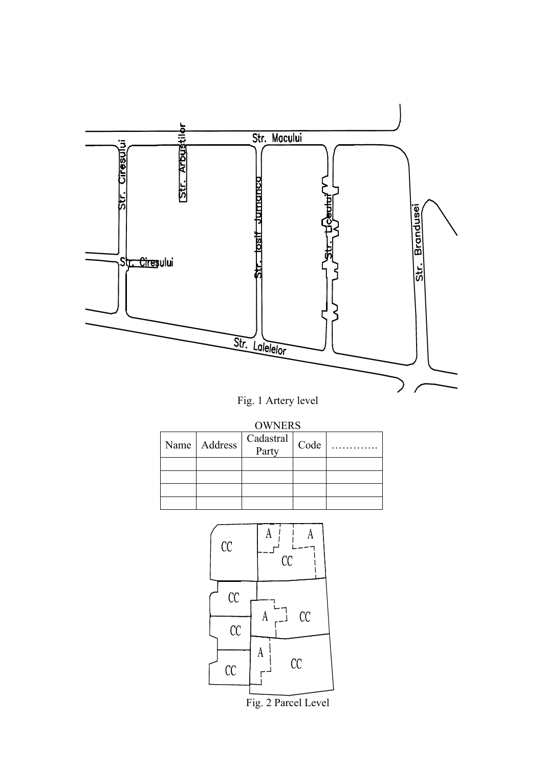

# Fig. 1 Artery level

**OWNERS** 

| Name Address | $\begin{array}{c c} \text{Cadastral} \\ \hline \text{Party} \end{array}$ Code |  |
|--------------|-------------------------------------------------------------------------------|--|
|              |                                                                               |  |
|              |                                                                               |  |
|              |                                                                               |  |
|              |                                                                               |  |



Fig. 2 Parcel Level